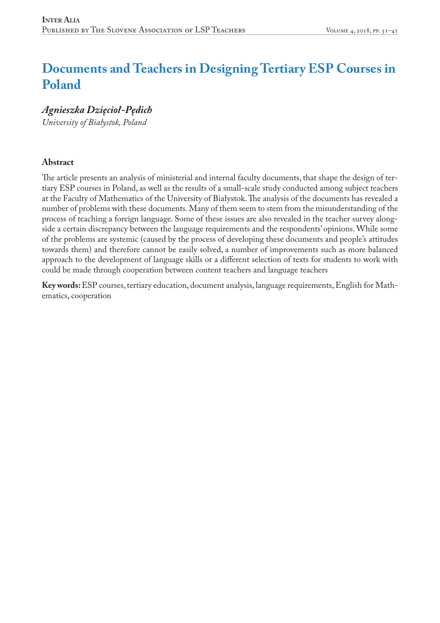# **Documents and Teachers in Designing Tertiary ESP Courses in Poland**

*Agnieszka Dzięcioł-Pędich*

*University of Białystok, Poland*

### **Abstract**

The article presents an analysis of ministerial and internal faculty documents, that shape the design of tertiary ESP courses in Poland, as well as the results of a small-scale study conducted among subject teachers at the Faculty of Mathematics of the University of Białystok. The analysis of the documents has revealed a number of problems with these documents. Many of them seem to stem from the misunderstanding of the process of teaching a foreign language. Some of these issues are also revealed in the teacher survey alongside a certain discrepancy between the language requirements and the respondents' opinions. While some of the problems are systemic (caused by the process of developing these documents and people's attitudes towards them) and therefore cannot be easily solved, a number of improvements such as more balanced approach to the development of language skills or a different selection of texts for students to work with could be made through cooperation between content teachers and language teachers

**Key words:** ESP courses, tertiary education, document analysis, language requirements,English for Mathematics, cooperation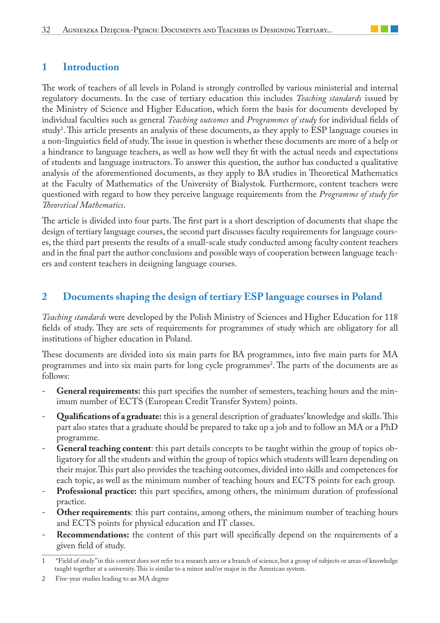## **1 Introduction**

The work of teachers of all levels in Poland is strongly controlled by various ministerial and internal regulatory documents. In the case of tertiary education this includes *Teaching standards* issued by the Ministry of Science and Higher Education, which form the basis for documents developed by individual faculties such as general *Teaching outcomes* and *Programmes of study* for individual fields of study1 . This article presents an analysis of these documents, as they apply to ESP language courses in a non-linguistics field of study. The issue in question is whether these documents are more of a help or a hindrance to language teachers, as well as how well they fit with the actual needs and expectations of students and language instructors. To answer this question, the author has conducted a qualitative analysis of the aforementioned documents, as they apply to BA studies in Theoretical Mathematics at the Faculty of Mathematics of the University of Bialystok. Furthermore, content teachers were questioned with regard to how they perceive language requirements from the *Programme of study for Theoretical Mathematics*.

The article is divided into four parts. The first part is a short description of documents that shape the design of tertiary language courses, the second part discusses faculty requirements for language courses, the third part presents the results of a small-scale study conducted among faculty content teachers and in the final part the author conclusions and possible ways of cooperation between language teachers and content teachers in designing language courses.

## **2 Documents shaping the design of tertiary ESP language courses in Poland**

*Teaching standards* were developed by the Polish Ministry of Sciences and Higher Education for 118 fields of study. They are sets of requirements for programmes of study which are obligatory for all institutions of higher education in Poland.

These documents are divided into six main parts for BA programmes, into five main parts for MA programmes and into six main parts for long cycle programmes<sup>2</sup>. The parts of the documents are as follows:

- General requirements: this part specifies the number of semesters, teaching hours and the minimum number of ECTS (European Credit Transfer System) points.
- **Qualifications of a graduate:** this is a general description of graduates' knowledge and skills. This part also states that a graduate should be prepared to take up a job and to follow an MA or a PhD programme.
- General teaching content: this part details concepts to be taught within the group of topics obligatory for all the students and within the group of topics which students will learn depending on their major. This part also provides the teaching outcomes, divided into skills and competences for each topic, as well as the minimum number of teaching hours and ECTS points for each group.
- **Professional practice:** this part specifies, among others, the minimum duration of professional practice.
- Other requirements: this part contains, among others, the minimum number of teaching hours and ECTS points for physical education and IT classes.
- **Recommendations:** the content of this part will specifically depend on the requirements of a given field of study.

<sup>1 &</sup>quot;Field of study" in this context does not refer to a research area or a branch of science, but a group of subjects or areas of knowledge taught together at a university. This is similar to a minor and/or major in the American system.

<sup>2</sup> Five-year studies leading to an MA degree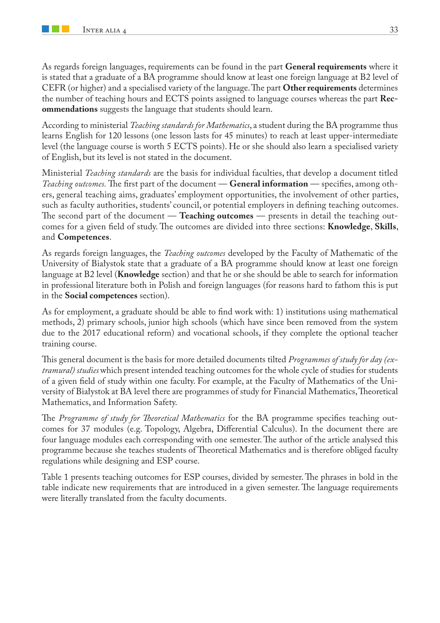As regards foreign languages, requirements can be found in the part **General requirements** where it is stated that a graduate of a BA programme should know at least one foreign language at B2 level of CEFR (or higher) and a specialised variety of the language. The part **Other requirements** determines the number of teaching hours and ECTS points assigned to language courses whereas the part **Recommendations** suggests the language that students should learn.

According to ministerial *Teaching standards for Mathematics*, a student during the BA programme thus learns English for 120 lessons (one lesson lasts for 45 minutes) to reach at least upper-intermediate level (the language course is worth 5 ECTS points). He or she should also learn a specialised variety of English, but its level is not stated in the document.

Ministerial *Teaching standards* are the basis for individual faculties, that develop a document titled *Teaching outcomes.* The first part of the document — **General information** — specifies, among others, general teaching aims, graduates' employment opportunities, the involvement of other parties, such as faculty authorities, students' council, or potential employers in defining teaching outcomes. The second part of the document — **Teaching outcomes** — presents in detail the teaching outcomes for a given field of study. The outcomes are divided into three sections: **Knowledge**, **Skills**, and **Competences**.

As regards foreign languages, the *Teaching outcomes* developed by the Faculty of Mathematic of the University of Białystok state that a graduate of a BA programme should know at least one foreign language at B2 level (**Knowledge** section) and that he or she should be able to search for information in professional literature both in Polish and foreign languages (for reasons hard to fathom this is put in the **Social competences** section).

As for employment, a graduate should be able to find work with: 1) institutions using mathematical methods, 2) primary schools, junior high schools (which have since been removed from the system due to the 2017 educational reform) and vocational schools, if they complete the optional teacher training course.

This general document is the basis for more detailed documents tilted *Programmes of study for day (extramural) studies* which present intended teaching outcomes for the whole cycle of studies for students of a given field of study within one faculty. For example, at the Faculty of Mathematics of the University of Białystok at BA level there are programmes of study for Financial Mathematics, Theoretical Mathematics, and Information Safety.

The *Programme of study for Theoretical Mathematics* for the BA programme specifies teaching outcomes for 37 modules (e.g. Topology, Algebra, Differential Calculus). In the document there are four language modules each corresponding with one semester. The author of the article analysed this programme because she teaches students of Theoretical Mathematics and is therefore obliged faculty regulations while designing and ESP course.

Table 1 presents teaching outcomes for ESP courses, divided by semester. The phrases in bold in the table indicate new requirements that are introduced in a given semester. The language requirements were literally translated from the faculty documents.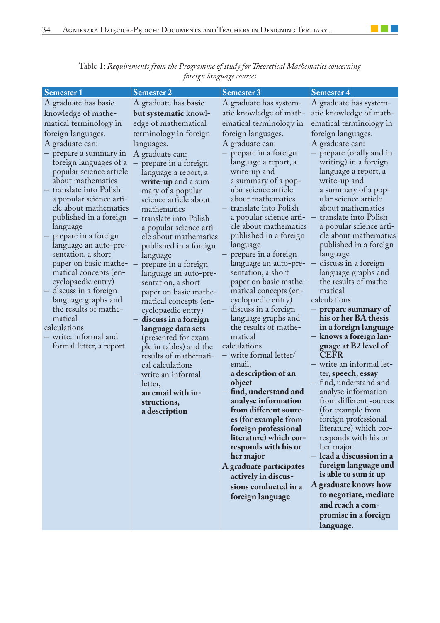| <b>Semester 1</b>                | <b>Semester 2</b>                                | Semester 3                                       | Semester 4                                       |
|----------------------------------|--------------------------------------------------|--------------------------------------------------|--------------------------------------------------|
| A graduate has basic             | A graduate has <b>basic</b>                      | A graduate has system-                           | A graduate has system-                           |
| knowledge of mathe-              | but systematic knowl-                            | atic knowledge of math-                          | atic knowledge of math-                          |
| matical terminology in           | edge of mathematical                             | ematical terminology in                          | ematical terminology in                          |
| foreign languages.               | terminology in foreign                           | foreign languages.                               | foreign languages.                               |
| A graduate can:                  | languages.                                       | A graduate can:                                  | A graduate can:                                  |
| prepare a summary in             | A graduate can:                                  | prepare in a foreign                             | - prepare (orally and in                         |
| foreign languages of a           | prepare in a foreign                             | language a report, a                             | writing) in a foreign                            |
| popular science article          | language a report, a                             | write-up and                                     | language a report, a                             |
| about mathematics                | write-up and a sum-                              | a summary of a pop-                              | write-up and                                     |
| translate into Polish            | mary of a popular                                | ular science article                             | a summary of a pop-                              |
| a popular science arti-          | science article about                            | about mathematics                                | ular science article                             |
| cle about mathematics            | mathematics                                      | translate into Polish                            | about mathematics                                |
| published in a foreign           | translate into Polish                            | a popular science arti-<br>cle about mathematics | translate into Polish<br>a popular science arti- |
| language<br>prepare in a foreign | a popular science arti-<br>cle about mathematics | published in a foreign                           | cle about mathematics                            |
| language an auto-pre-            | published in a foreign                           | language                                         | published in a foreign                           |
| sentation, a short               | language                                         | prepare in a foreign                             | language                                         |
| paper on basic mathe-            | prepare in a foreign                             | language an auto-pre-                            | discuss in a foreign                             |
| matical concepts (en-            | language an auto-pre-                            | sentation, a short                               | language graphs and                              |
| cyclopaedic entry)               | sentation, a short                               | paper on basic mathe-                            | the results of mathe-                            |
| discuss in a foreign             | paper on basic mathe-                            | matical concepts (en-                            | matical                                          |
| language graphs and              | matical concepts (en-                            | cyclopaedic entry)                               | calculations                                     |
| the results of mathe-            | cyclopaedic entry)                               | - discuss in a foreign                           | prepare summary of                               |
| matical<br>calculations          | discuss in a foreign                             | language graphs and<br>the results of mathe-     | his or her BA thesis                             |
| write: informal and              | language data sets                               | matical                                          | in a foreign language<br>knows a foreign lan-    |
| formal letter, a report          | (presented for exam-<br>ple in tables) and the   | calculations                                     | guage at B2 level of                             |
|                                  | results of mathemati-                            | - write formal letter/                           | <b>CEFR</b>                                      |
|                                  | cal calculations                                 | email,                                           | write an informal let-                           |
|                                  | - write an informal                              | a description of an                              | ter, speech, essay                               |
|                                  | letter,                                          | object                                           | - find, understand and                           |
|                                  | an email with in-                                | find, understand and                             | analyse information                              |
|                                  | structions,                                      | analyse information                              | from different sources                           |
|                                  | a description                                    | from different sourc-                            | (for example from                                |
|                                  |                                                  | es (for example from                             | foreign professional                             |
|                                  |                                                  | foreign professional                             | literature) which cor-                           |
|                                  |                                                  | literature) which cor-<br>responds with his or   | responds with his or<br>her major                |
|                                  |                                                  | her major                                        | - lead a discussion in a                         |
|                                  |                                                  | A graduate participates                          | foreign language and                             |
|                                  |                                                  | actively in discus-                              | is able to sum it up                             |
|                                  |                                                  | sions conducted in a                             | A graduate knows how                             |
|                                  |                                                  | foreign language                                 | to negotiate, mediate                            |
|                                  |                                                  |                                                  | and reach a com-                                 |
|                                  |                                                  |                                                  | promise in a foreign                             |
|                                  |                                                  |                                                  | language.                                        |

Table 1: *Requirements from the Programme of study for Theoretical Mathematics concerning foreign language courses*

 $\mathcal{L}^{\text{max}}_{\text{max}}$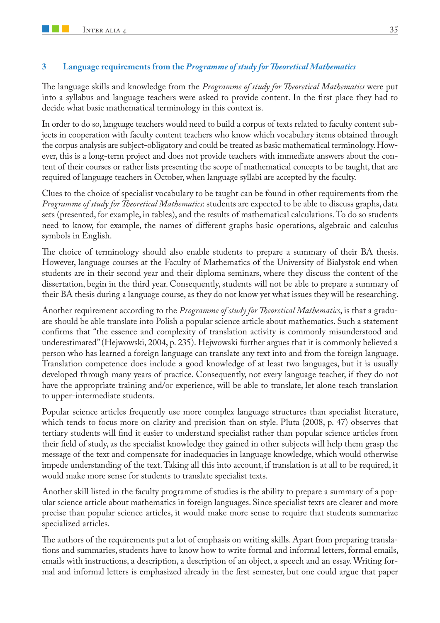#### **3 Language requirements from the** *Programme of study for Theoretical Mathematics*

The language skills and knowledge from the *Programme of study for Theoretical Mathematics* were put into a syllabus and language teachers were asked to provide content. In the first place they had to decide what basic mathematical terminology in this context is.

In order to do so, language teachers would need to build a corpus of texts related to faculty content subjects in cooperation with faculty content teachers who know which vocabulary items obtained through the corpus analysis are subject-obligatory and could be treated as basic mathematical terminology. However, this is a long-term project and does not provide teachers with immediate answers about the content of their courses or rather lists presenting the scope of mathematical concepts to be taught, that are required of language teachers in October, when language syllabi are accepted by the faculty.

Clues to the choice of specialist vocabulary to be taught can be found in other requirements from the *Programme of study for Theoretical Mathematics*: students are expected to be able to discuss graphs, data sets (presented, for example, in tables), and the results of mathematical calculations. To do so students need to know, for example, the names of different graphs basic operations, algebraic and calculus symbols in English.

The choice of terminology should also enable students to prepare a summary of their BA thesis. However, language courses at the Faculty of Mathematics of the University of Białystok end when students are in their second year and their diploma seminars, where they discuss the content of the dissertation, begin in the third year. Consequently, students will not be able to prepare a summary of their BA thesis during a language course, as they do not know yet what issues they will be researching.

Another requirement according to the *Programme of study for Theoretical Mathematics*, is that a graduate should be able translate into Polish a popular science article about mathematics. Such a statement confirms that "the essence and complexity of translation activity is commonly misunderstood and underestimated" (Hejwowski, 2004, p. 235). Hejwowski further argues that it is commonly believed a person who has learned a foreign language can translate any text into and from the foreign language. Translation competence does include a good knowledge of at least two languages, but it is usually developed through many years of practice. Consequently, not every language teacher, if they do not have the appropriate training and/or experience, will be able to translate, let alone teach translation to upper-intermediate students.

Popular science articles frequently use more complex language structures than specialist literature, which tends to focus more on clarity and precision than on style. Pluta (2008, p. 47) observes that tertiary students will find it easier to understand specialist rather than popular science articles from their field of study, as the specialist knowledge they gained in other subjects will help them grasp the message of the text and compensate for inadequacies in language knowledge, which would otherwise impede understanding of the text. Taking all this into account, if translation is at all to be required, it would make more sense for students to translate specialist texts.

Another skill listed in the faculty programme of studies is the ability to prepare a summary of a popular science article about mathematics in foreign languages. Since specialist texts are clearer and more precise than popular science articles, it would make more sense to require that students summarize specialized articles.

The authors of the requirements put a lot of emphasis on writing skills. Apart from preparing translations and summaries, students have to know how to write formal and informal letters, formal emails, emails with instructions, a description, a description of an object, a speech and an essay. Writing formal and informal letters is emphasized already in the first semester, but one could argue that paper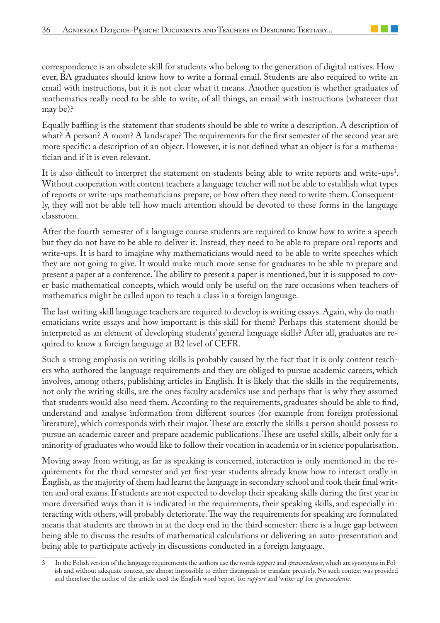correspondence is an obsolete skill for students who belong to the generation of digital natives. However, BA graduates should know how to write a formal email. Students are also required to write an email with instructions, but it is not clear what it means. Another question is whether graduates of mathematics really need to be able to write, of all things, an email with instructions (whatever that may be)?

Equally baffling is the statement that students should be able to write a description. A description of what? A person? A room? A landscape? The requirements for the first semester of the second year are more specific: a description of an object. However, it is not defined what an object is for a mathematician and if it is even relevant.

It is also difficult to interpret the statement on students being able to write reports and write-ups<sup>3</sup>. Without cooperation with content teachers a language teacher will not be able to establish what types of reports or write-ups mathematicians prepare, or how often they need to write them. Consequently, they will not be able tell how much attention should be devoted to these forms in the language classroom.

After the fourth semester of a language course students are required to know how to write a speech but they do not have to be able to deliver it. Instead, they need to be able to prepare oral reports and write-ups. It is hard to imagine why mathematicians would need to be able to write speeches which they are not going to give. It would make much more sense for graduates to be able to prepare and present a paper at a conference. The ability to present a paper is mentioned, but it is supposed to cover basic mathematical concepts, which would only be useful on the rare occasions when teachers of mathematics might be called upon to teach a class in a foreign language.

The last writing skill language teachers are required to develop is writing essays. Again, why do mathematicians write essays and how important is this skill for them? Perhaps this statement should be interpreted as an element of developing students' general language skills? After all, graduates are required to know a foreign language at B2 level of CEFR.

Such a strong emphasis on writing skills is probably caused by the fact that it is only content teachers who authored the language requirements and they are obliged to pursue academic careers, which involves, among others, publishing articles in English. It is likely that the skills in the requirements, not only the writing skills, are the ones faculty academics use and perhaps that is why they assumed that students would also need them. According to the requirements, graduates should be able to find, understand and analyse information from different sources (for example from foreign professional literature), which corresponds with their major. These are exactly the skills a person should possess to pursue an academic career and prepare academic publications. These are useful skills, albeit only for a minority of graduates who would like to follow their vocation in academia or in science popularisation.

Moving away from writing, as far as speaking is concerned, interaction is only mentioned in the requirements for the third semester and yet first-year students already know how to interact orally in English, as the majority of them had learnt the language in secondary school and took their final written and oral exams. If students are not expected to develop their speaking skills during the first year in more diversified ways than it is indicated in the requirements, their speaking skills, and especially interacting with others, will probably deteriorate. The way the requirements for speaking are formulated means that students are thrown in at the deep end in the third semester: there is a huge gap between being able to discuss the results of mathematical calculations or delivering an auto-presentation and being able to participate actively in discussions conducted in a foreign language.

<sup>3</sup> In the Polish version of the language requirements the authors use the words *rapport* and *sprawozdanie*, which are synonyms in Polish and without adequate context, are almost impossible to either distinguish or translate precisely. No such context was provided and therefore the author of the article used the English word 'report' for *rapport* and 'write-up' for *sprawozdanie*.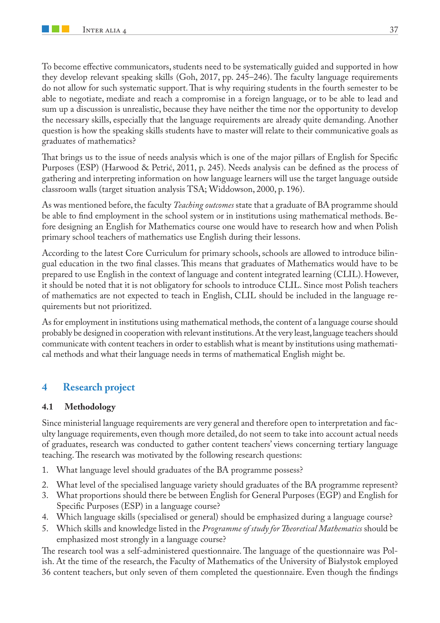To become effective communicators, students need to be systematically guided and supported in how they develop relevant speaking skills (Goh, 2017, pp. 245–246). The faculty language requirements do not allow for such systematic support. That is why requiring students in the fourth semester to be able to negotiate, mediate and reach a compromise in a foreign language, or to be able to lead and sum up a discussion is unrealistic, because they have neither the time nor the opportunity to develop the necessary skills, especially that the language requirements are already quite demanding. Another question is how the speaking skills students have to master will relate to their communicative goals as graduates of mathematics?

That brings us to the issue of needs analysis which is one of the major pillars of English for Specific Purposes (ESP) (Harwood & Petrić, 2011, p. 245). Needs analysis can be defined as the process of gathering and interpreting information on how language learners will use the target language outside classroom walls (target situation analysis TSA; Widdowson, 2000, p. 196).

As was mentioned before, the faculty *Teaching outcomes* state that a graduate of BA programme should be able to find employment in the school system or in institutions using mathematical methods. Before designing an English for Mathematics course one would have to research how and when Polish primary school teachers of mathematics use English during their lessons.

According to the latest Core Curriculum for primary schools, schools are allowed to introduce bilingual education in the two final classes. This means that graduates of Mathematics would have to be prepared to use English in the context of language and content integrated learning (CLIL). However, it should be noted that it is not obligatory for schools to introduce CLIL. Since most Polish teachers of mathematics are not expected to teach in English, CLIL should be included in the language requirements but not prioritized.

As for employment in institutions using mathematical methods, the content of a language course should probably be designed in cooperation with relevant institutions. At the very least, language teachers should communicate with content teachers in order to establish what is meant by institutions using mathematical methods and what their language needs in terms of mathematical English might be.

## **4 Research project**

#### **4.1 Methodology**

Since ministerial language requirements are very general and therefore open to interpretation and faculty language requirements, even though more detailed, do not seem to take into account actual needs of graduates, research was conducted to gather content teachers' views concerning tertiary language teaching. The research was motivated by the following research questions:

- 1. What language level should graduates of the BA programme possess?
- 2. What level of the specialised language variety should graduates of the BA programme represent?
- 3. What proportions should there be between English for General Purposes (EGP) and English for Specific Purposes (ESP) in a language course?
- 4. Which language skills (specialised or general) should be emphasized during a language course?
- 5. Which skills and knowledge listed in the *Programme of study for Theoretical Mathematics* should be emphasized most strongly in a language course?

The research tool was a self-administered questionnaire. The language of the questionnaire was Polish. At the time of the research, the Faculty of Mathematics of the University of Białystok employed 36 content teachers, but only seven of them completed the questionnaire. Even though the findings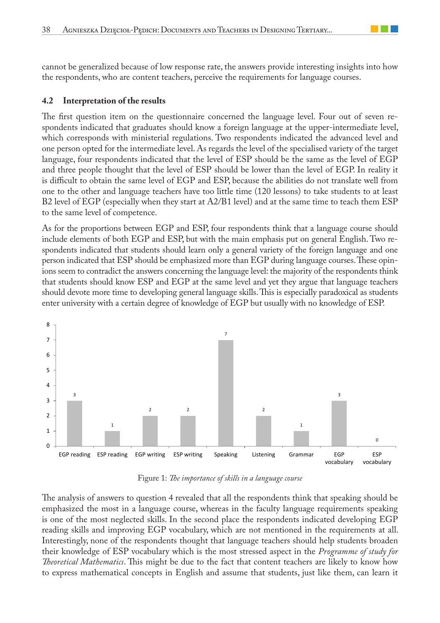cannot be generalized because of low response rate, the answers provide interesting insights into how the respondents, who are content teachers, perceive the requirements for language courses.

#### **4.2 Interpretation of the results**

The first question item on the questionnaire concerned the language level. Four out of seven respondents indicated that graduates should know a foreign language at the upper-intermediate level, which corresponds with ministerial regulations. Two respondents indicated the advanced level and one person opted for the intermediate level. As regards the level of the specialised variety of the target language, four respondents indicated that the level of ESP should be the same as the level of EGP and three people thought that the level of ESP should be lower than the level of EGP. In reality it is difficult to obtain the same level of EGP and ESP, because the abilities do not translate well from one to the other and language teachers have too little time (120 lessons) to take students to at least B2 level of EGP (especially when they start at A2/B1 level) and at the same time to teach them ESP to the same level of competence.

As for the proportions between EGP and ESP, four respondents think that a language course should include elements of both EGP and ESP, but with the main emphasis put on general English. Two respondents indicated that students should learn only a general variety of the foreign language and one person indicated that ESP should be emphasized more than EGP during language courses. These opinions seem to contradict the answers concerning the language level: the majority of the respondents think that students should know ESP and EGP at the same level and yet they argue that language teachers should devote more time to developing general language skills. This is especially paradoxical as students enter university with a certain degree of knowledge of EGP but usually with no knowledge of ESP.



Figure 1: *The importance of skills in a language course* 

The analysis of answers to question 4 revealed that all the respondents think that speaking should be emphasized the most in a language course, whereas in the faculty language requirements speaking is one of the most neglected skills. In the second place the respondents indicated developing EGP reading skills and improving EGP vocabulary, which are not mentioned in the requirements at all. Interestingly, none of the respondents thought that language teachers should help students broaden their knowledge of ESP vocabulary which is the most stressed aspect in the *Programme of study for Theoretical Mathematics*. This might be due to the fact that content teachers are likely to know how to express mathematical concepts in English and assume that students, just like them, can learn it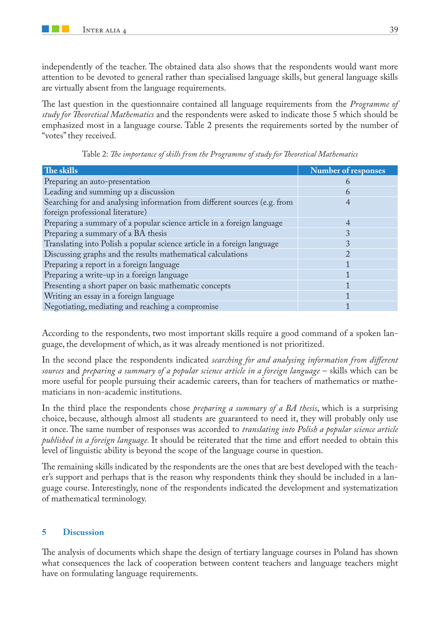independently of the teacher. The obtained data also shows that the respondents would want more attention to be devoted to general rather than specialised language skills, but general language skills are virtually absent from the language requirements.

The last question in the questionnaire contained all language requirements from the *Programme of study for Theoretical Mathematics* and the respondents were asked to indicate those 5 which should be emphasized most in a language course. Table 2 presents the requirements sorted by the number of "votes" they received.

| The skills                                                                | Number of responses |
|---------------------------------------------------------------------------|---------------------|
| Preparing an auto-presentation                                            |                     |
| Leading and summing up a discussion                                       | h                   |
| Searching for and analysing information from different sources (e.g. from |                     |
| foreign professional literature)                                          |                     |
| Preparing a summary of a popular science article in a foreign language    |                     |
| Preparing a summary of a BA thesis                                        |                     |
| Translating into Polish a popular science article in a foreign language   |                     |
| Discussing graphs and the results mathematical calculations               |                     |
| Preparing a report in a foreign language                                  |                     |
| Preparing a write-up in a foreign language                                |                     |
| Presenting a short paper on basic mathematic concepts                     |                     |
| Writing an essay in a foreign language                                    |                     |
| Negotiating, mediating and reaching a compromise                          |                     |

Table 2: *The importance of skills from the Programme of study for Theoretical Mathematics*

According to the respondents, two most important skills require a good command of a spoken language, the development of which, as it was already mentioned is not prioritized.

In the second place the respondents indicated *searching for and analysing information from different sources* and *preparing a summary of a popular science article in a foreign language* – skills which can be more useful for people pursuing their academic careers, than for teachers of mathematics or mathematicians in non-academic institutions.

In the third place the respondents chose *preparing a summary of a BA thesis*, which is a surprising choice, because, although almost all students are guaranteed to need it, they will probably only use it once. The same number of responses was accorded to *translating into Polish a popular science article published in a foreign language.* It should be reiterated that the time and effort needed to obtain this level of linguistic ability is beyond the scope of the language course in question.

The remaining skills indicated by the respondents are the ones that are best developed with the teacher's support and perhaps that is the reason why respondents think they should be included in a language course. Interestingly, none of the respondents indicated the development and systematization of mathematical terminology.

#### **5 Discussion**

The analysis of documents which shape the design of tertiary language courses in Poland has shown what consequences the lack of cooperation between content teachers and language teachers might have on formulating language requirements.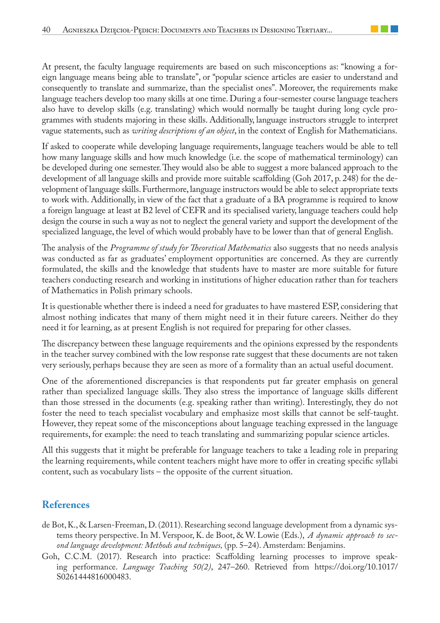At present, the faculty language requirements are based on such misconceptions as: "knowing a foreign language means being able to translate", or "popular science articles are easier to understand and consequently to translate and summarize, than the specialist ones". Moreover, the requirements make language teachers develop too many skills at one time. During a four-semester course language teachers also have to develop skills (e.g. translating) which would normally be taught during long cycle programmes with students majoring in these skills. Additionally, language instructors struggle to interpret vague statements, such as *writing descriptions of an object*, in the context of English for Mathematicians.

If asked to cooperate while developing language requirements, language teachers would be able to tell how many language skills and how much knowledge (i.e. the scope of mathematical terminology) can be developed during one semester. They would also be able to suggest a more balanced approach to the development of all language skills and provide more suitable scaffolding (Goh 2017, p. 248) for the development of language skills. Furthermore, language instructors would be able to select appropriate texts to work with. Additionally, in view of the fact that a graduate of a BA programme is required to know a foreign language at least at B2 level of CEFR and its specialised variety, language teachers could help design the course in such a way as not to neglect the general variety and support the development of the specialized language, the level of which would probably have to be lower than that of general English.

The analysis of the *Programme of study for Theoretical Mathematics* also suggests that no needs analysis was conducted as far as graduates' employment opportunities are concerned. As they are currently formulated, the skills and the knowledge that students have to master are more suitable for future teachers conducting research and working in institutions of higher education rather than for teachers of Mathematics in Polish primary schools.

It is questionable whether there is indeed a need for graduates to have mastered ESP, considering that almost nothing indicates that many of them might need it in their future careers. Neither do they need it for learning, as at present English is not required for preparing for other classes.

The discrepancy between these language requirements and the opinions expressed by the respondents in the teacher survey combined with the low response rate suggest that these documents are not taken very seriously, perhaps because they are seen as more of a formality than an actual useful document.

One of the aforementioned discrepancies is that respondents put far greater emphasis on general rather than specialized language skills. They also stress the importance of language skills different than those stressed in the documents (e.g. speaking rather than writing). Interestingly, they do not foster the need to teach specialist vocabulary and emphasize most skills that cannot be self-taught. However, they repeat some of the misconceptions about language teaching expressed in the language requirements, for example: the need to teach translating and summarizing popular science articles.

All this suggests that it might be preferable for language teachers to take a leading role in preparing the learning requirements, while content teachers might have more to offer in creating specific syllabi content, such as vocabulary lists – the opposite of the current situation.

## **References**

- de Bot, K., & Larsen-Freeman, D. (2011). Researching second language development from a dynamic systems theory perspective. In M. Verspoor, K. de Boot, & W. Lowie (Eds.), *A dynamic approach to second language development: Methods and techniques,* (pp. 5–24). Amsterdam: Benjamins.
- Goh, C.C.M. (2017). Research into practice: Scaffolding learning processes to improve speaking performance. *Language Teaching 50(2)*, 247–260. Retrieved from https://doi.org/10.1017/ S0261444816000483.